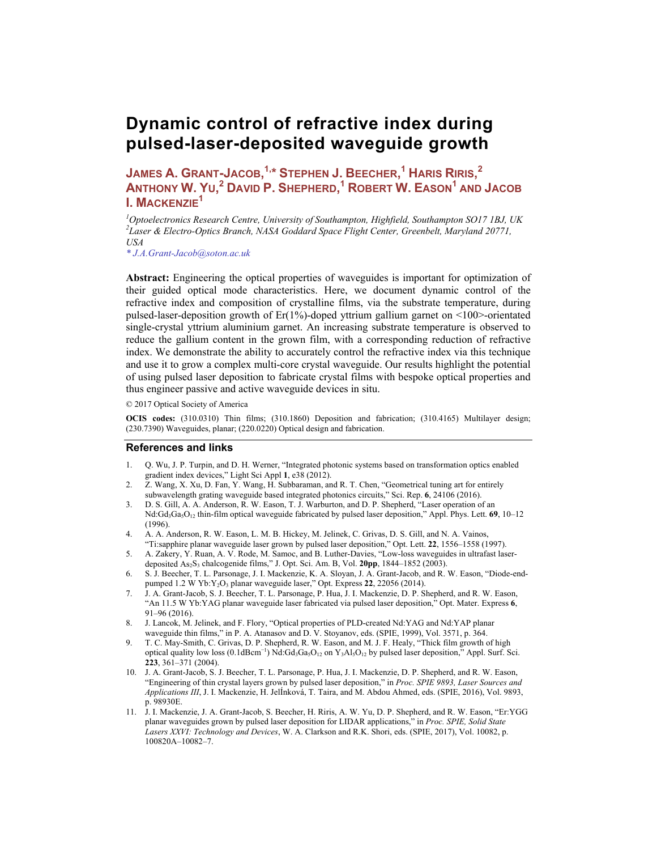# **Dynamic control of refractive index during pulsed-laser-deposited waveguide growth**

**JAMES A. GRANT-JACOB, 1,\* STEPHEN J. BEECHER, <sup>1</sup> HARIS RIRIS, 2 ANTHONY W. YU, <sup>2</sup> DAVID P. SHEPHERD, <sup>1</sup> ROBERT W. EASON<sup>1</sup> AND JACOB I. MACKENZIE1** 

<sup>1</sup> Optoelectronics Research Centre, University of Southampton, Highfield, Southampton SO17 1BJ, UK <sup>2</sup>I ascu<sup>p</sup> & Floatso Optics Pranch MASA Goddard Space Flight Center, Greenbelt, Mamland 20771 *Laser & Electro-Optics Branch, NASA Goddard Space Flight Center, Greenbelt, Maryland 20771, USA* 

*\* J.A.Grant-Jacob@soton.ac.uk* 

Abstract: Engineering the optical properties of waveguides is important for optimization of their guided optical mode characteristics. Here, we document dynamic control of the refractive index and composition of crystalline films, via the substrate temperature, during pulsed-laser-deposition growth of  $E_r(1\%)$ -doped yttrium gallium garnet on <100>-orientated single-crystal yttrium aluminium garnet. An increasing substrate temperature is observed to reduce the gallium content in the grown film, with a corresponding reduction of refractive index. We demonstrate the ability to accurately control the refractive index via this technique and use it to grow a complex multi-core crystal waveguide. Our results highlight the potential of using pulsed laser deposition to fabricate crystal films with bespoke optical properties and thus engineer passive and active waveguide devices in situ.

© 2017 Optical Society of America

**OCIS codes:** (310.0310) Thin films; (310.1860) Deposition and fabrication; (310.4165) Multilayer design; (230.7390) Waveguides, planar; (220.0220) Optical design and fabrication.

#### **References and links**

- 1. Q. Wu, J. P. Turpin, and D. H. Werner, "Integrated photonic systems based on transformation optics enabled gradient index devices," Light Sci Appl **1**, e38 (2012).
- 2. Z. Wang, X. Xu, D. Fan, Y. Wang, H. Subbaraman, and R. T. Chen, "Geometrical tuning art for entirely subwavelength grating waveguide based integrated photonics circuits," Sci. Rep. **6**, 24106 (2016).
- 3. D. S. Gill, A. A. Anderson, R. W. Eason, T. J. Warburton, and D. P. Shepherd, "Laser operation of an Nd:Gd3Ga5O12 thin-film optical waveguide fabricated by pulsed laser deposition," Appl. Phys. Lett. **69**, 10–12 (1996).
- 4. A. A. Anderson, R. W. Eason, L. M. B. Hickey, M. Jelinek, C. Grivas, D. S. Gill, and N. A. Vainos, "Ti:sapphire planar waveguide laser grown by pulsed laser deposition," Opt. Lett. **22**, 1556–1558 (1997).
- 5. A. Zakery, Y. Ruan, A. V. Rode, M. Samoc, and B. Luther-Davies, "Low-loss waveguides in ultrafast laserdeposited  $As_2S_3$  chalcogenide films," J. Opt. Sci. Am. B, Vol. 20pp, 1844–1852 (2003).
- 6. S. J. Beecher, T. L. Parsonage, J. I. Mackenzie, K. A. Sloyan, J. A. Grant-Jacob, and R. W. Eason, "Diode-endpumped 1.2 W Yb:Y<sub>2</sub>O<sub>3</sub> planar waveguide laser," Opt. Express 22, 22056 (2014).
- 7. J. A. Grant-Jacob, S. J. Beecher, T. L. Parsonage, P. Hua, J. I. Mackenzie, D. P. Shepherd, and R. W. Eason, "An 11.5 W Yb:YAG planar waveguide laser fabricated via pulsed laser deposition," Opt. Mater. Express **6**, 91–96 (2016).
- 8. J. Lancok, M. Jelinek, and F. Flory, "Optical properties of PLD-created Nd:YAG and Nd:YAP planar waveguide thin films," in P. A. Atanasov and D. V. Stoyanov, eds. (SPIE, 1999), Vol. 3571, p. 364.
- 9. T. C. May-Smith, C. Grivas, D. P. Shepherd, R. W. Eason, and M. J. F. Healy, "Thick film growth of high optical quality low loss (0.1dBcm<sup>-1</sup>) Nd:Gd<sub>3</sub>Ga<sub>5</sub>O<sub>12</sub> on Y<sub>3</sub>Al<sub>5</sub>O<sub>12</sub> by pulsed laser deposition," Appl. Surf. Sci. **223**, 361–371 (2004).
- 10. J. A. Grant-Jacob, S. J. Beecher, T. L. Parsonage, P. Hua, J. I. Mackenzie, D. P. Shepherd, and R. W. Eason, "Engineering of thin crystal layers grown by pulsed laser deposition," in *Proc. SPIE 9893, Laser Sources and Applications III*, J. I. Mackenzie, H. JelÍnková, T. Taira, and M. Abdou Ahmed, eds. (SPIE, 2016), Vol. 9893, p. 98930E.
- 11. J. I. Mackenzie, J. A. Grant-Jacob, S. Beecher, H. Riris, A. W. Yu, D. P. Shepherd, and R. W. Eason, "Er:YGG planar waveguides grown by pulsed laser deposition for LIDAR applications," in *Proc. SPIE, Solid State Lasers XXVI: Technology and Devices*, W. A. Clarkson and R.K. Shori, eds. (SPIE, 2017), Vol. 10082, p. 100820A–10082–7.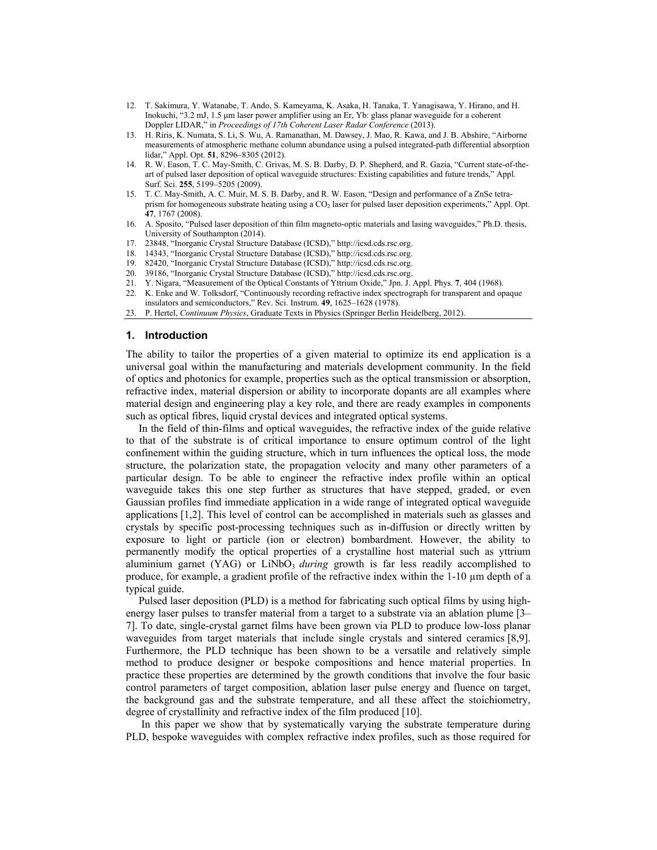- 12. T. Sakimura, Y. Watanabe, T. Ando, S. Kameyama, K. Asaka, H. Tanaka, T. Yanagisawa, Y. Hirano, and H. Inokuchi, "3.2 mJ, 1.5 μm laser power amplifier using an Er, Yb: glass planar waveguide for a coherent Doppler LIDAR," in *Proceedings of 17th Coherent Laser Radar Conference* (2013).
- 13. H. Riris, K. Numata, S. Li, S. Wu, A. Ramanathan, M. Dawsey, J. Mao, R. Kawa, and J. B. Abshire, "Airborne measurements of atmospheric methane column abundance using a pulsed integrated-path differential absorption lidar," Appl. Opt. **51**, 8296–8305 (2012).
- 14. R. W. Eason, T. C. May-Smith, C. Grivas, M. S. B. Darby, D. P. Shepherd, and R. Gazia, "Current state-of-theart of pulsed laser deposition of optical waveguide structures: Existing capabilities and future trends," Appl. Surf. Sci. **255**, 5199–5205 (2009).
- 15. T. C. May-Smith, A. C. Muir, M. S. B. Darby, and R. W. Eason, "Design and performance of a ZnSe tetraprism for homogeneous substrate heating using a CO<sub>2</sub> laser for pulsed laser deposition experiments," Appl. Opt. **47**, 1767 (2008).
- 16. A. Sposito, "Pulsed laser deposition of thin film magneto-optic materials and lasing waveguides," Ph.D. thesis, University of Southampton (2014).
- 17. 23848, "Inorganic Crystal Structure Database (ICSD)," http://icsd.cds.rsc.org.
- 18. 14343, "Inorganic Crystal Structure Database (ICSD)," http://icsd.cds.rsc.org.
- 19. 82420, "Inorganic Crystal Structure Database (ICSD)," http://icsd.cds.rsc.org.
- 20. 39186, "Inorganic Crystal Structure Database (ICSD)," http://icsd.cds.rsc.org.
- 21. Y. Nigara, "Measurement of the Optical Constants of Yttrium Oxide," Jpn. J. Appl. Phys. **7**, 404 (1968).
- 22. K. Enke and W. Tolksdorf, "Continuously recording refractive index spectrograph for transparent and opaque
- insulators and semiconductors," Rev. Sci. Instrum. **49**, 1625–1628 (1978).
- 23. P. Hertel, *Continuum Physics*, Graduate Texts in Physics (Springer Berlin Heidelberg, 2012).

#### **1. Introduction**

The ability to tailor the properties of a given material to optimize its end application is a universal goal within the manufacturing and materials development community. In the field of optics and photonics for example, properties such as the optical transmission or absorption, refractive index, material dispersion or ability to incorporate dopants are all examples where material design and engineering play a key role, and there are ready examples in components such as optical fibres, liquid crystal devices and integrated optical systems.

In the field of thin-films and optical waveguides, the refractive index of the guide relative to that of the substrate is of critical importance to ensure optimum control of the light confinement within the guiding structure, which in turn influences the optical loss, the mode structure, the polarization state, the propagation velocity and many other parameters of a particular design. To be able to engineer the refractive index profile within an optical waveguide takes this one step further as structures that have stepped, graded, or even Gaussian profiles find immediate application in a wide range of integrated optical waveguide applications [1,2]. This level of control can be accomplished in materials such as glasses and crystals by specific post-processing techniques such as in-diffusion or directly written by exposure to light or particle (ion or electron) bombardment. However, the ability to permanently modify the optical properties of a crystalline host material such as yttrium aluminium garnet (YAG) or LiNbO<sub>3</sub> *during* growth is far less readily accomplished to produce, for example, a gradient profile of the refractive index within the  $1-10 \mu m$  depth of a typical guide.

Pulsed laser deposition (PLD) is a method for fabricating such optical films by using highenergy laser pulses to transfer material from a target to a substrate via an ablation plume [3– 7]. To date, single-crystal garnet films have been grown via PLD to produce low-loss planar waveguides from target materials that include single crystals and sintered ceramics [8,9]. Furthermore, the PLD technique has been shown to be a versatile and relatively simple method to produce designer or bespoke compositions and hence material properties. In practice these properties are determined by the growth conditions that involve the four basic control parameters of target composition, ablation laser pulse energy and fluence on target, the background gas and the substrate temperature, and all these affect the stoichiometry, degree of crystallinity and refractive index of the film produced [10].

In this paper we show that by systematically varying the substrate temperature during PLD, bespoke waveguides with complex refractive index profiles, such as those required for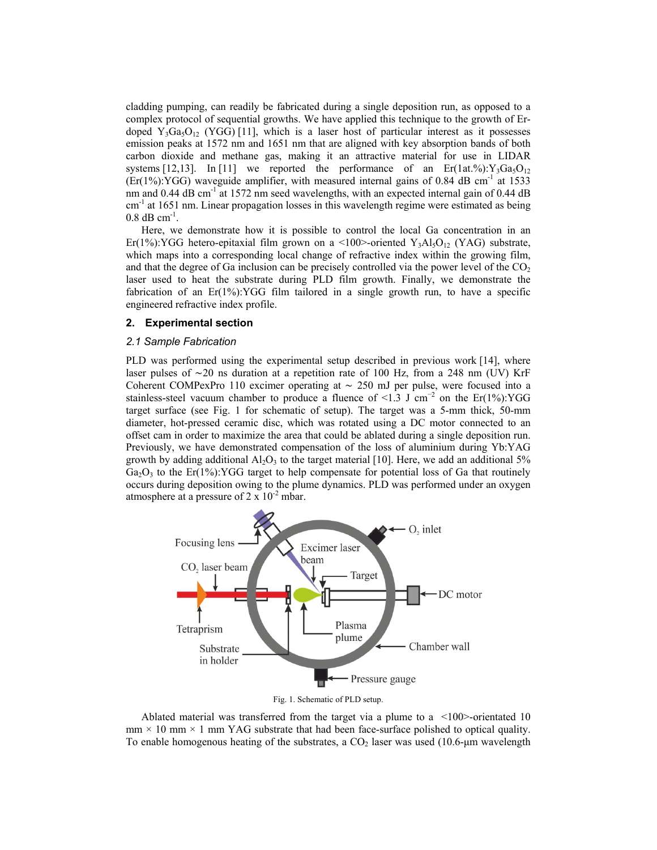cladding pumping, can readily be fabricated during a single deposition run, as opposed to a complex protocol of sequential growths. We have applied this technique to the growth of Erdoped Y<sub>3</sub>Ga<sub>5</sub>O<sub>12</sub> (YGG) [11], which is a laser host of particular interest as it possesses emission peaks at 1572 nm and 1651 nm that are aligned with key absorption bands of both carbon dioxide and methane gas, making it an attractive material for use in LIDAR systems [12,13]. In [11] we reported the performance of an  $Er(1at\%):Y_3Ga_5O_{12}$  $(Er(1%):YGG)$  waveguide amplifier, with measured internal gains of 0.84 dB cm<sup>-1</sup> at 1533 nm and  $0.44$  dB cm<sup>-1</sup> at 1572 nm seed wavelengths, with an expected internal gain of  $0.44$  dB cm<sup>-1</sup> at 1651 nm. Linear propagation losses in this wavelength regime were estimated as being  $0.8$  dB cm<sup>-1</sup>.

Here, we demonstrate how it is possible to control the local Ga concentration in an Er(1%):YGG hetero-epitaxial film grown on a <100>-oriented Y<sub>3</sub>Al<sub>5</sub>O<sub>12</sub> (YAG) substrate, which maps into a corresponding local change of refractive index within the growing film, and that the degree of Ga inclusion can be precisely controlled via the power level of the  $CO<sub>2</sub>$ laser used to heat the substrate during PLD film growth. Finally, we demonstrate the fabrication of an  $E(r(1\%)$ : YGG film tailored in a single growth run, to have a specific engineered refractive index profile.

#### **2. Experimental section**

# *2.1 Sample Fabrication*

PLD was performed using the experimental setup described in previous work [14], where laser pulses of ∼20 ns duration at a repetition rate of 100 Hz, from a 248 nm (UV) KrF Coherent COMPexPro 110 excimer operating at ∼ 250 mJ per pulse, were focused into a stainless-steel vacuum chamber to produce a fluence of <1.3 J cm<sup>-2</sup> on the Er(1%):YGG target surface (see Fig. 1 for schematic of setup). The target was a 5-mm thick, 50-mm diameter, hot-pressed ceramic disc, which was rotated using a DC motor connected to an offset cam in order to maximize the area that could be ablated during a single deposition run. Previously, we have demonstrated compensation of the loss of aluminium during Yb:YAG growth by adding additional  $Al_2O_3$  to the target material [10]. Here, we add an additional 5%  $Ga<sub>2</sub>O<sub>3</sub>$  to the Er(1%):YGG target to help compensate for potential loss of Ga that routinely occurs during deposition owing to the plume dynamics. PLD was performed under an oxygen atmosphere at a pressure of  $2 \times 10^{-2}$  mbar.



Fig. 1. Schematic of PLD setup.

Ablated material was transferred from the target via a plume to a <100>-orientated 10  $mm \times 10$  mm  $\times 1$  mm YAG substrate that had been face-surface polished to optical quality. To enable homogenous heating of the substrates, a  $CO<sub>2</sub>$  laser was used (10.6-µm wavelength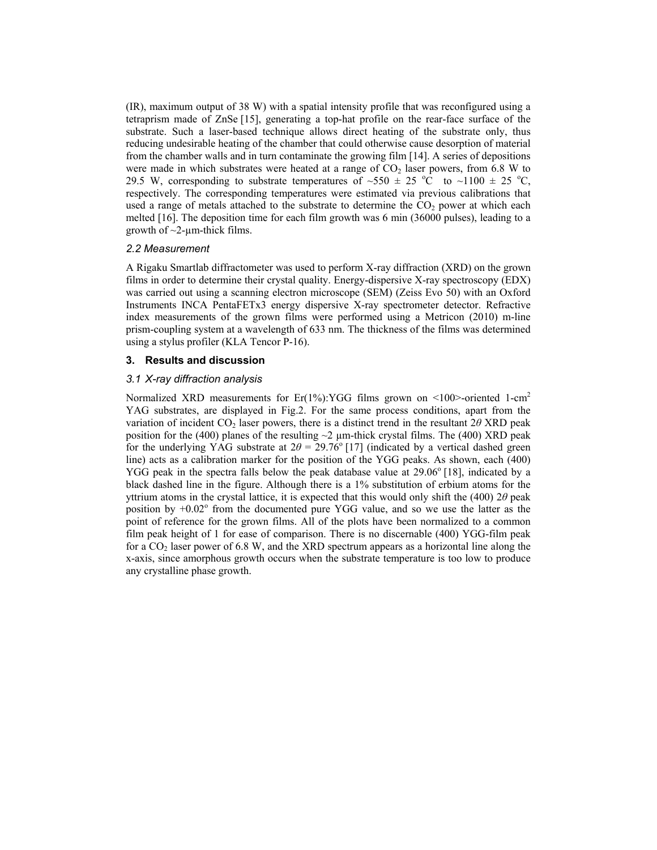(IR), maximum output of 38 W) with a spatial intensity profile that was reconfigured using a tetraprism made of ZnSe [15], generating a top-hat profile on the rear-face surface of the substrate. Such a laser-based technique allows direct heating of the substrate only, thus reducing undesirable heating of the chamber that could otherwise cause desorption of material from the chamber walls and in turn contaminate the growing film [14]. A series of depositions were made in which substrates were heated at a range of  $CO<sub>2</sub>$  laser powers, from 6.8 W to 29.5 W, corresponding to substrate temperatures of  $\sim$ 550  $\pm$  25 °C to  $\sim$ 1100  $\pm$  25 °C, respectively. The corresponding temperatures were estimated via previous calibrations that used a range of metals attached to the substrate to determine the  $CO<sub>2</sub>$  power at which each melted [16]. The deposition time for each film growth was 6 min (36000 pulses), leading to a growth of  $\sim$ 2-µm-thick films.

## *2.2 Measurement*

A Rigaku Smartlab diffractometer was used to perform X-ray diffraction (XRD) on the grown films in order to determine their crystal quality. Energy-dispersive X-ray spectroscopy (EDX) was carried out using a scanning electron microscope (SEM) (Zeiss Evo 50) with an Oxford Instruments INCA PentaFETx3 energy dispersive X-ray spectrometer detector. Refractive index measurements of the grown films were performed using a Metricon (2010) m-line prism-coupling system at a wavelength of 633 nm. The thickness of the films was determined using a stylus profiler (KLA Tencor P-16).

## **3. Results and discussion**

#### *3.1 X-ray diffraction analysis*

Normalized XRD measurements for Er(1%):YGG films grown on <100>-oriented 1-cm<sup>2</sup> YAG substrates, are displayed in Fig.2. For the same process conditions, apart from the variation of incident CO2 laser powers, there is a distinct trend in the resultant 2*θ* XRD peak position for the (400) planes of the resulting  $\sim$ 2  $\mu$ m-thick crystal films. The (400) XRD peak for the underlying YAG substrate at  $2\theta = 29.76^{\circ}$  [17] (indicated by a vertical dashed green line) acts as a calibration marker for the position of the YGG peaks. As shown, each (400) YGG peak in the spectra falls below the peak database value at 29.06<sup>°</sup> [18], indicated by a black dashed line in the figure. Although there is a 1% substitution of erbium atoms for the yttrium atoms in the crystal lattice, it is expected that this would only shift the (400) 2*θ* peak position by  $+0.02^{\circ}$  from the documented pure YGG value, and so we use the latter as the point of reference for the grown films. All of the plots have been normalized to a common film peak height of 1 for ease of comparison. There is no discernable (400) YGG-film peak for a  $CO<sub>2</sub>$  laser power of 6.8 W, and the XRD spectrum appears as a horizontal line along the x-axis, since amorphous growth occurs when the substrate temperature is too low to produce any crystalline phase growth.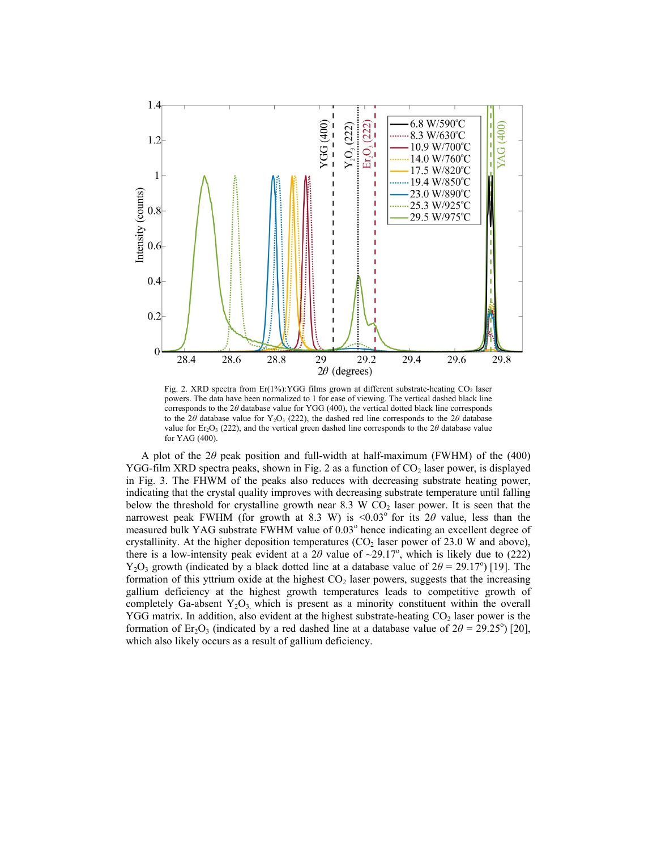

Fig. 2. XRD spectra from Er(1%): YGG films grown at different substrate-heating  $CO<sub>2</sub>$  laser powers. The data have been normalized to 1 for ease of viewing. The vertical dashed black line corresponds to the 2*θ* database value for YGG (400), the vertical dotted black line corresponds to the 2*θ* database value for  $Y_2O_3$  (222), the dashed red line corresponds to the 2*θ* database value for Er<sub>2</sub>O<sub>3</sub> (222), and the vertical green dashed line corresponds to the 2 $\theta$  database value for YAG (400).

A plot of the 2*θ* peak position and full-width at half-maximum (FWHM) of the (400) YGG-film XRD spectra peaks, shown in Fig. 2 as a function of  $CO<sub>2</sub>$  laser power, is displayed in Fig. 3. The FHWM of the peaks also reduces with decreasing substrate heating power, indicating that the crystal quality improves with decreasing substrate temperature until falling below the threshold for crystalline growth near 8.3 W  $CO<sub>2</sub>$  laser power. It is seen that the narrowest peak FWHM (for growth at 8.3 W) is  $\leq 0.03^\circ$  for its 2 $\theta$  value, less than the measured bulk YAG substrate FWHM value of 0.03° hence indicating an excellent degree of crystallinity. At the higher deposition temperatures  $(CO<sub>2</sub>$  laser power of 23.0 W and above), there is a low-intensity peak evident at a  $2\theta$  value of  $\sim$ 29.17<sup>o</sup>, which is likely due to (222) Y<sub>2</sub>O<sub>3</sub> growth (indicated by a black dotted line at a database value of  $2\theta = 29.17^{\circ}$ ) [19]. The formation of this yttrium oxide at the highest  $CO<sub>2</sub>$  laser powers, suggests that the increasing gallium deficiency at the highest growth temperatures leads to competitive growth of completely Ga-absent  $Y_2O_3$ , which is present as a minority constituent within the overall YGG matrix. In addition, also evident at the highest substrate-heating  $CO<sub>2</sub>$  laser power is the formation of Er<sub>2</sub>O<sub>3</sub> (indicated by a red dashed line at a database value of  $2\theta = 29.25^{\circ}$ ) [20], which also likely occurs as a result of gallium deficiency.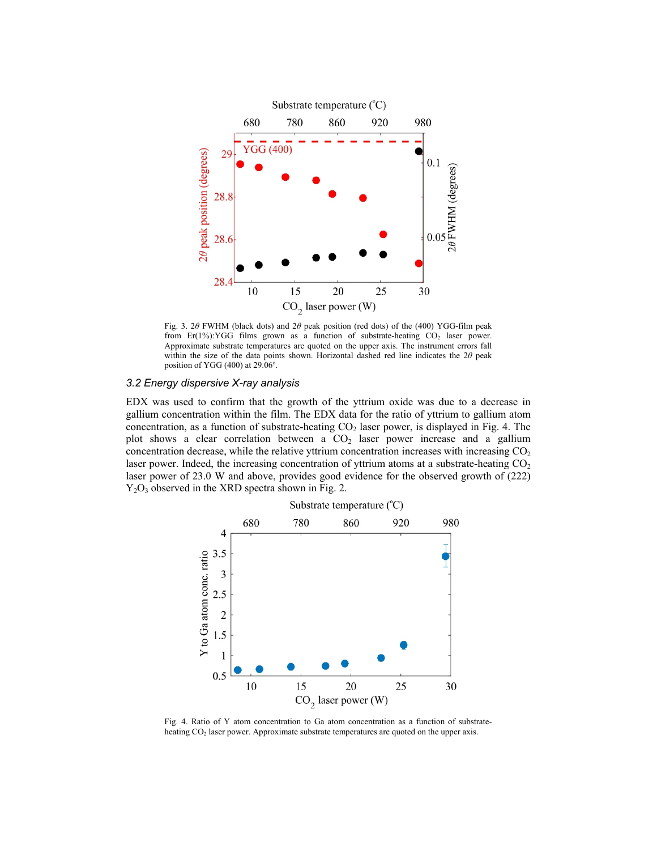

Fig. 3. 2*θ* FWHM (black dots) and 2*θ* peak position (red dots) of the (400) YGG-film peak from Er(1%):YGG films grown as a function of substrate-heating  $CO<sub>2</sub>$  laser power. Approximate substrate temperatures are quoted on the upper axis. The instrument errors fall within the size of the data points shown. Horizontal dashed red line indicates the 2*θ* peak position of YGG  $(400)$  at 29.06 $^{\circ}$ .

## *3.2 Energy dispersive X-ray analysis*

EDX was used to confirm that the growth of the yttrium oxide was due to a decrease in gallium concentration within the film. The EDX data for the ratio of yttrium to gallium atom concentration, as a function of substrate-heating  $CO<sub>2</sub>$  laser power, is displayed in Fig. 4. The plot shows a clear correlation between a  $CO<sub>2</sub>$  laser power increase and a gallium concentration decrease, while the relative yttrium concentration increases with increasing  $CO<sub>2</sub>$ laser power. Indeed, the increasing concentration of yttrium atoms at a substrate-heating  $CO<sub>2</sub>$ laser power of 23.0 W and above, provides good evidence for the observed growth of (222)  $Y_2O_3$  observed in the XRD spectra shown in Fig. 2.



Fig. 4. Ratio of Y atom concentration to Ga atom concentration as a function of substrateheating CO<sub>2</sub> laser power. Approximate substrate temperatures are quoted on the upper axis.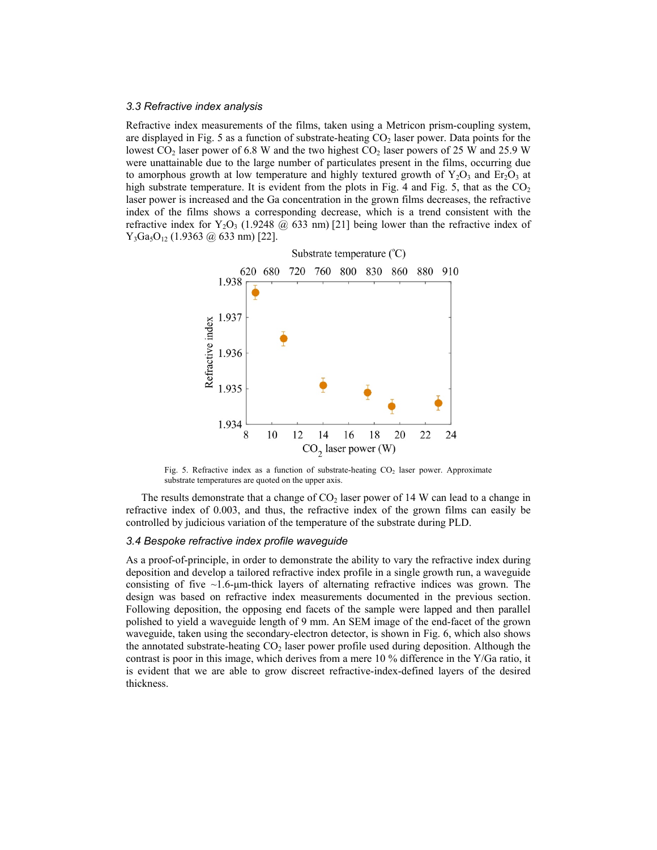#### *3.3 Refractive index analysis*

Refractive index measurements of the films, taken using a Metricon prism-coupling system, are displayed in Fig. 5 as a function of substrate-heating  $CO<sub>2</sub>$  laser power. Data points for the lowest  $CO_2$  laser power of 6.8 W and the two highest  $CO_2$  laser powers of 25 W and 25.9 W were unattainable due to the large number of particulates present in the films, occurring due to amorphous growth at low temperature and highly textured growth of  $Y_2O_3$  and  $E_7O_3$  at high substrate temperature. It is evident from the plots in Fig. 4 and Fig. 5, that as the  $CO<sub>2</sub>$ laser power is increased and the Ga concentration in the grown films decreases, the refractive index of the films shows a corresponding decrease, which is a trend consistent with the refractive index for  $Y_2O_3$  (1.9248  $\omega$  633 nm) [21] being lower than the refractive index of  $Y_3Ga_5O_{12}$  (1.9363 @ 633 nm) [22].



Fig. 5. Refractive index as a function of substrate-heating  $CO<sub>2</sub>$  laser power. Approximate substrate temperatures are quoted on the upper axis.

The results demonstrate that a change of  $CO<sub>2</sub>$  laser power of 14 W can lead to a change in refractive index of 0.003, and thus, the refractive index of the grown films can easily be controlled by judicious variation of the temperature of the substrate during PLD.

#### *3.4 Bespoke refractive index profile waveguide*

As a proof-of-principle, in order to demonstrate the ability to vary the refractive index during deposition and develop a tailored refractive index profile in a single growth run, a waveguide consisting of five  $\sim$ 1.6-μm-thick layers of alternating refractive indices was grown. The design was based on refractive index measurements documented in the previous section. Following deposition, the opposing end facets of the sample were lapped and then parallel polished to yield a waveguide length of 9 mm. An SEM image of the end-facet of the grown waveguide, taken using the secondary-electron detector, is shown in Fig. 6, which also shows the annotated substrate-heating  $CO<sub>2</sub>$  laser power profile used during deposition. Although the contrast is poor in this image, which derives from a mere 10 % difference in the Y/Ga ratio, it is evident that we are able to grow discreet refractive-index-defined layers of the desired thickness.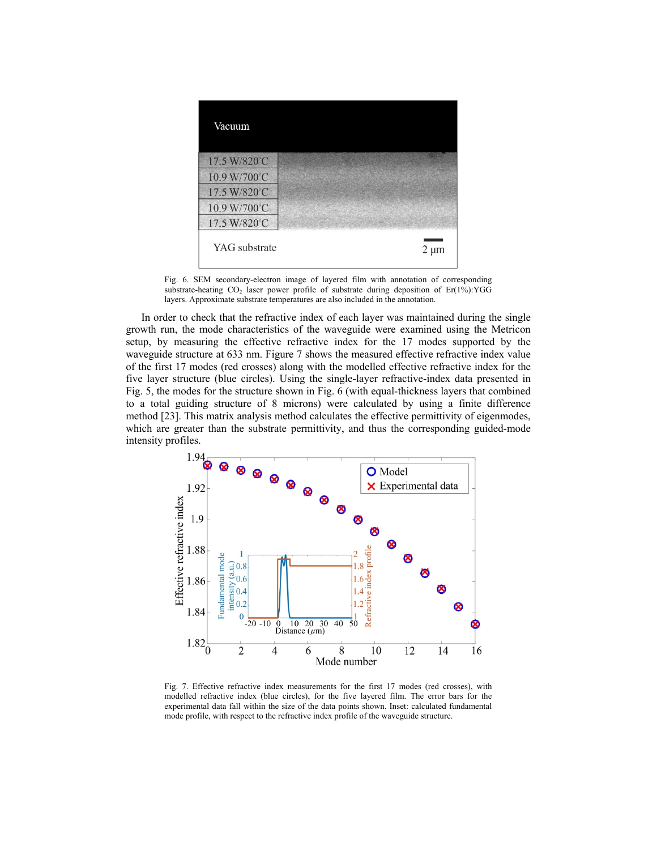

Fig. 6. SEM secondary-electron image of layered film with annotation of corresponding substrate-heating  $CO_2$  laser power profile of substrate during deposition of Er(1%):YGG layers. Approximate substrate temperatures are also included in the annotation.

In order to check that the refractive index of each layer was maintained during the single growth run, the mode characteristics of the waveguide were examined using the Metricon setup, by measuring the effective refractive index for the 17 modes supported by the waveguide structure at 633 nm. Figure 7 shows the measured effective refractive index value of the first 17 modes (red crosses) along with the modelled effective refractive index for the five layer structure (blue circles). Using the single-layer refractive-index data presented in Fig. 5, the modes for the structure shown in Fig. 6 (with equal-thickness layers that combined to a total guiding structure of 8 microns) were calculated by using a finite difference method [23]. This matrix analysis method calculates the effective permittivity of eigenmodes, which are greater than the substrate permittivity, and thus the corresponding guided-mode intensity profiles.<br> $1.94\frac{1}{8}$ 



Fig. 7. Effective refractive index measurements for the first 17 modes (red crosses), with modelled refractive index (blue circles), for the five layered film. The error bars for the experimental data fall within the size of the data points shown. Inset: calculated fundamental mode profile, with respect to the refractive index profile of the waveguide structure.